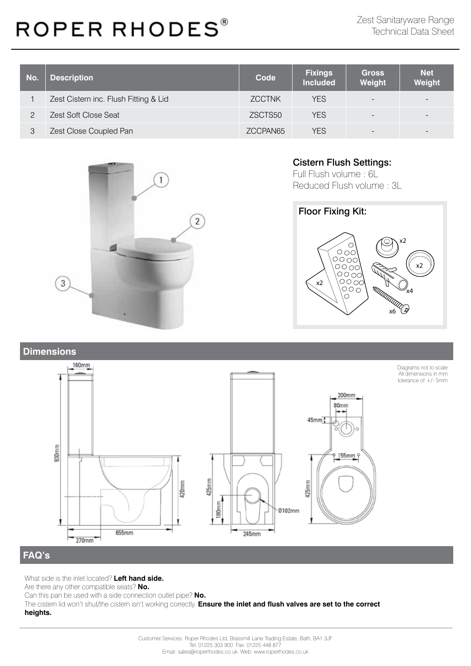| No. | <b>Description</b>                    | Code          | <b>Fixings</b><br><b>Included</b> | <b>Gross</b><br>Weight   | <b>Net</b><br>Weight |
|-----|---------------------------------------|---------------|-----------------------------------|--------------------------|----------------------|
|     | Zest Cistern inc. Flush Fitting & Lid | <b>ZCCTNK</b> | <b>YES</b>                        | $\overline{\phantom{a}}$ |                      |
|     | Zest Soft Close Seat                  | ZSCTS50       | <b>YES</b>                        | $\overline{\phantom{a}}$ |                      |
|     | Zest Close Coupled Pan                | ZCCPAN65      | YES.                              | $\overline{\phantom{a}}$ |                      |



#### Cistern Flush Settings:

Full Flush volume : 6L Reduced Flush volume : 3L



#### **Dimensions**



Diagrams not to scale All dimensions in mm tolerance of +/- 5mm

#### **FAQ's**

What side is the inlet located? **Left hand side.**

Are there any other compatible seats? **No.**

Can this pan be used with a side connection outlet pipe? **No.**

The cistern lid won't shut/the cistern isn't working correctly. **Ensure the inlet and flush valves are set to the correct heights.**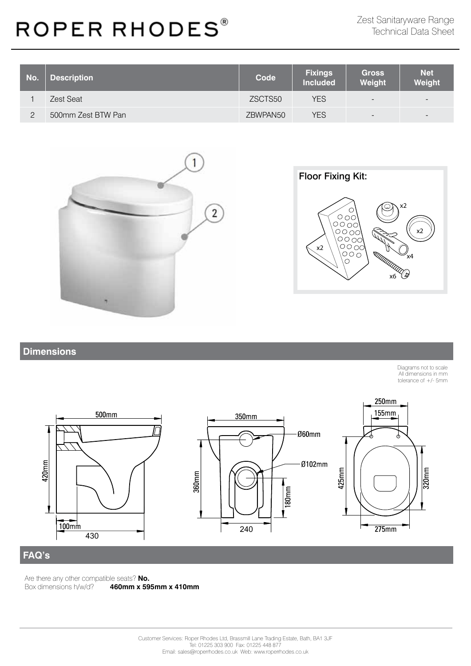| No. | <b>Description</b> | <b>Code</b> | <b>Fixings</b><br><b>Included</b> | <b>Gross</b><br>Weight   | <b>Net</b><br>Weight     |
|-----|--------------------|-------------|-----------------------------------|--------------------------|--------------------------|
|     | Zest Seat          | ZSCTS50     | <b>YES</b>                        | $\overline{\phantom{a}}$ | $\overline{\phantom{0}}$ |
| ◠   | 500mm Zest BTW Pan | ZBWPAN50    | YES                               | $\overline{\phantom{a}}$ | $-$                      |





#### **Dimensions**

Diagrams not to scale All dimensions in mm tolerance of +/- 5mm



### **FAQ's**

Are there any other compatible seats? **No.**<br>Box dimensions h/w/d? **460mm x 59** Box dimensions h/w/d? **460mm x 595mm x 410mm**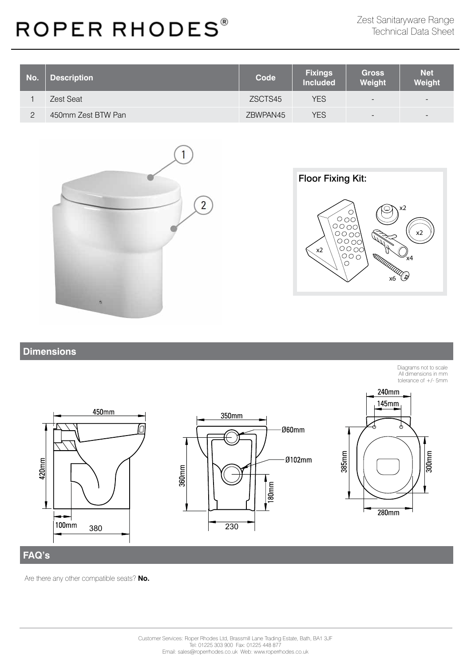| No. | <b>Description</b> | <b>Code</b> | <b>Fixings</b><br><b>Included</b> | <b>Gross</b><br>Weight   | <b>Net</b><br>Weight     |
|-----|--------------------|-------------|-----------------------------------|--------------------------|--------------------------|
|     | Zest Seat          | ZSCTS45     | <b>YES</b>                        | $\overline{\phantom{a}}$ | $\overline{\phantom{0}}$ |
| ◠   | 450mm Zest BTW Pan | ZBWPAN45    | <b>YES</b>                        | $\overline{\phantom{a}}$ | $\overline{\phantom{0}}$ |





#### **Dimensions**

Diagrams not to scale All dimensions in mm tolerance of +/- 5mm 240mm **145mm** 450mm 350mm n Ø60mm 385mm  $300$ mm 420<sub>mm</sub> Ø102mm  $360$ mm  $\frac{180 \text{mm}}{180 \text{mm}}$  $280 \text{mm}$ 100mm 380 230

#### **FAQ's**

Are there any other compatible seats? **No.**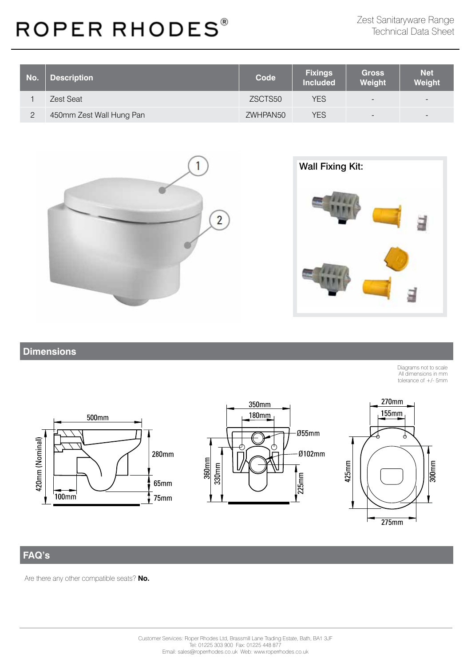| No. | <b>Description</b>       | Code     | <b>Fixings</b><br><b>Included</b> | <b>Gross</b><br>Weight   | <b>Net</b><br>Weight     |
|-----|--------------------------|----------|-----------------------------------|--------------------------|--------------------------|
|     | Zest Seat                | ZSCTS50  | YES                               | $\overline{\phantom{a}}$ | $\overline{\phantom{0}}$ |
| 2   | 450mm Zest Wall Hung Pan | ZWHPAN50 | YES                               | $\overline{\phantom{a}}$ | $\overline{\phantom{0}}$ |





### **Dimensions**

Diagrams not to scale All dimensions in mm tolerance of +/- 5mm







### **FAQ's**

Are there any other compatible seats? **No.**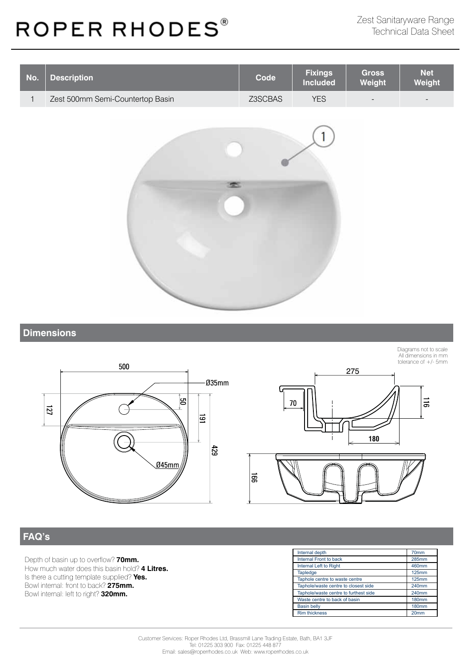

#### **Dimensions**







### **FAQ's**

Depth of basin up to overflow? **70mm.** How much water does this basin hold? **4 Litres.** Is there a cutting template supplied? **Yes.** Bowl internal: front to back? **275mm.** Bowl internal: left to right? **320mm.**

| Internal depth                        | 70mm             |
|---------------------------------------|------------------|
| Internal Front to back                | <b>285mm</b>     |
| Internal Left to Right                | 460mm            |
| Tapledge                              | <b>125mm</b>     |
| Taphole centre to waste centre        | <b>125mm</b>     |
| Taphole/waste centre to closest side  | 240mm            |
| Taphole/waste centre to furthest side | 240mm            |
| Waste centre to back of basin         | <b>180mm</b>     |
| <b>Basin belly</b>                    | <b>180mm</b>     |
| <b>Rim thickness</b>                  | 20 <sub>mm</sub> |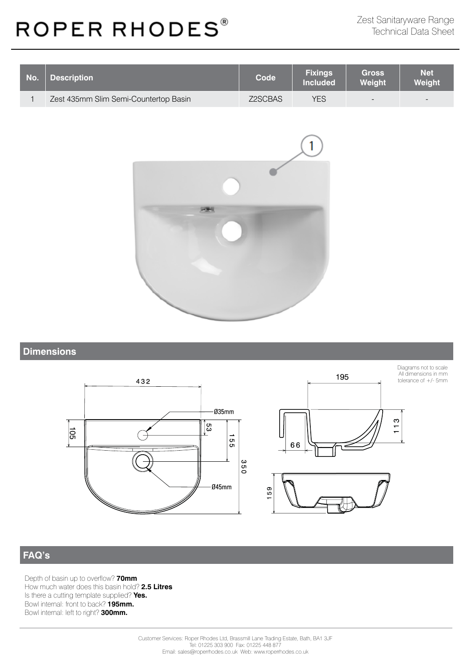| No. | <b>Description</b>                    | Code    | <b>Fixings</b><br><b>Included</b> | <b>Gross</b><br>Weight   | <b>Net</b><br>Weight     |
|-----|---------------------------------------|---------|-----------------------------------|--------------------------|--------------------------|
|     | Zest 435mm Slim Semi-Countertop Basin | Z2SCBAS | YES                               | $\overline{\phantom{a}}$ | $\overline{\phantom{a}}$ |



### **Dimensions**







**FAQ's**

Depth of basin up to overflow? **70mm** How much water does this basin hold? **2.5 Litres** Is there a cutting template supplied? **Yes.** Bowl internal: front to back? **195mm.**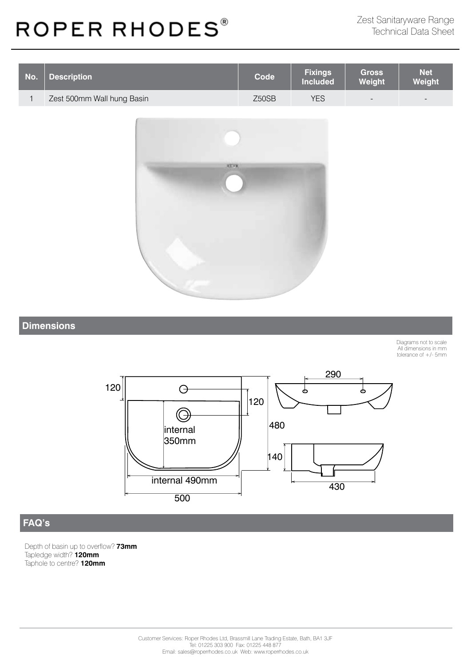| No. | <b>Description</b>         | <b>Code</b> | <b>Fixings</b><br><b>Included</b> | <b>Gross</b><br><b>Weight</b> | <b>Net</b><br>Weight     |
|-----|----------------------------|-------------|-----------------------------------|-------------------------------|--------------------------|
|     | Zest 500mm Wall hung Basin | Z50SB       | YES                               | $\overline{\phantom{a}}$      | $\overline{\phantom{0}}$ |



#### **Dimensions**

Diagrams not to scale All dimensions in mm tolerance of +/- 5mm



### **FAQ's**

Depth of basin up to overflow? **73mm** Tapledge width? **120mm** Taphole to centre? **120mm**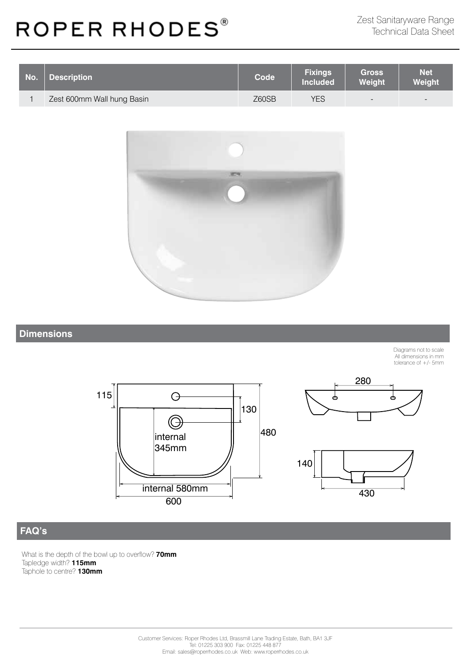| No. | <b>Description</b>         | <b>Code</b> | <b>Fixings</b><br><b>Included</b> | <b>Gross</b><br><b>Weight</b> | <b>Net</b><br>Weight |
|-----|----------------------------|-------------|-----------------------------------|-------------------------------|----------------------|
|     | Zest 600mm Wall hung Basin | Z60SB       | YES                               | $\overline{\phantom{a}}$      | $\equiv$             |



#### **Dimensions**

Diagrams not to scale All dimensions in mm tolerance of +/- 5mm







### **FAQ's**

What is the depth of the bowl up to overflow? **70mm** Tapledge width? **115mm** Taphole to centre? **130mm**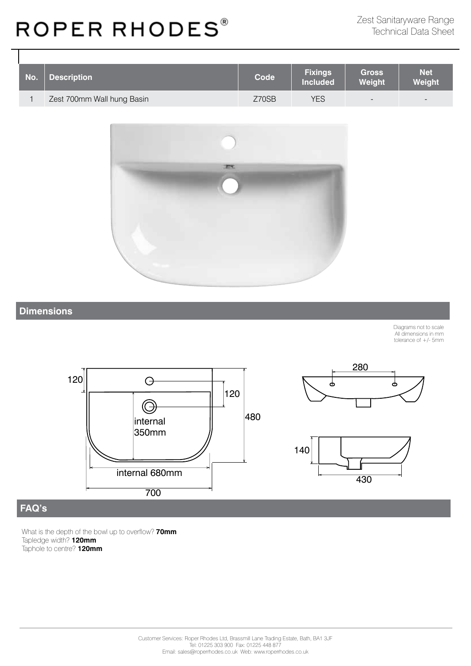| No. | <b>Description</b>         | Code  | <b>Fixings</b><br><b>Included</b> | <b>Gross</b><br>Weight   | <b>Net</b><br>Weight     |
|-----|----------------------------|-------|-----------------------------------|--------------------------|--------------------------|
|     | Zest 700mm Wall hung Basin | Z70SB | <b>YES</b>                        | $\overline{\phantom{a}}$ | $\overline{\phantom{0}}$ |



### **Dimensions**

Diagrams not to scale All dimensions in mm tolerance of +/- 5mm







### **FAQ's**

What is the depth of the bowl up to overflow? **70mm** Tapledge width? **120mm** Taphole to centre? **120mm**